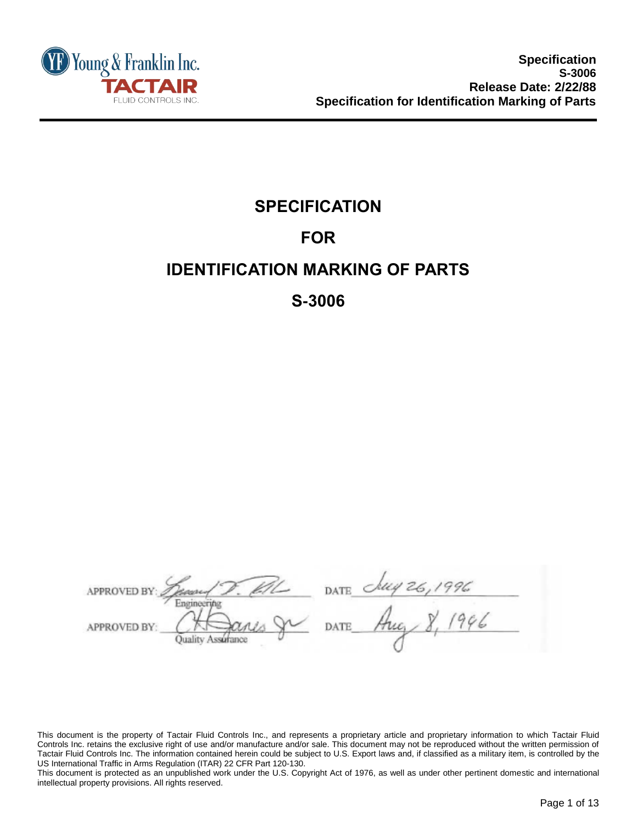

# **SPECIFICATION FOR IDENTIFICATION MARKING OF PARTS**

## **S-3006**

DATE *Chey 26, 1996*<br>- DATE Aug 8, 1996 **APPROVED B'** dation Engineeryhg **APPROVED BY** 

This document is the property of Tactair Fluid Controls Inc., and represents a proprietary article and proprietary information to which Tactair Fluid Controls Inc. retains the exclusive right of use and/or manufacture and/or sale. This document may not be reproduced without the written permission of Tactair Fluid Controls Inc. The information contained herein could be subject to U.S. Export laws and, if classified as a military item, is controlled by the US International Traffic in Arms Regulation (ITAR) 22 CFR Part 120-130.

This document is protected as an unpublished work under the U.S. Copyright Act of 1976, as well as under other pertinent domestic and international intellectual property provisions. All rights reserved.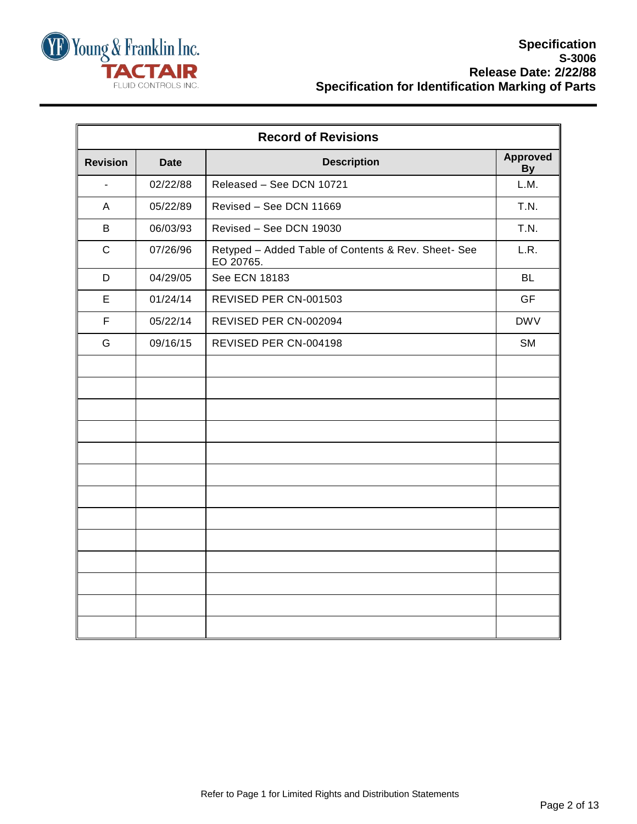

| <b>Record of Revisions</b> |             |                                                                  |                              |  |  |
|----------------------------|-------------|------------------------------------------------------------------|------------------------------|--|--|
| <b>Revision</b>            | <b>Date</b> | <b>Description</b>                                               | <b>Approved</b><br><b>By</b> |  |  |
| $\blacksquare$             | 02/22/88    | Released - See DCN 10721                                         | L.M.                         |  |  |
| A                          | 05/22/89    | Revised - See DCN 11669                                          | T.N.                         |  |  |
| B                          | 06/03/93    | Revised - See DCN 19030                                          | T.N.                         |  |  |
| $\mathbf C$                | 07/26/96    | Retyped - Added Table of Contents & Rev. Sheet- See<br>EO 20765. | L.R.                         |  |  |
| D                          | 04/29/05    | See ECN 18183                                                    | <b>BL</b>                    |  |  |
| E                          | 01/24/14    | REVISED PER CN-001503                                            | <b>GF</b>                    |  |  |
| $\mathsf F$                | 05/22/14    | REVISED PER CN-002094                                            | <b>DWV</b>                   |  |  |
| G                          | 09/16/15    | REVISED PER CN-004198                                            | <b>SM</b>                    |  |  |
|                            |             |                                                                  |                              |  |  |
|                            |             |                                                                  |                              |  |  |
|                            |             |                                                                  |                              |  |  |
|                            |             |                                                                  |                              |  |  |
|                            |             |                                                                  |                              |  |  |
|                            |             |                                                                  |                              |  |  |
|                            |             |                                                                  |                              |  |  |
|                            |             |                                                                  |                              |  |  |
|                            |             |                                                                  |                              |  |  |
|                            |             |                                                                  |                              |  |  |
|                            |             |                                                                  |                              |  |  |
|                            |             |                                                                  |                              |  |  |
|                            |             |                                                                  |                              |  |  |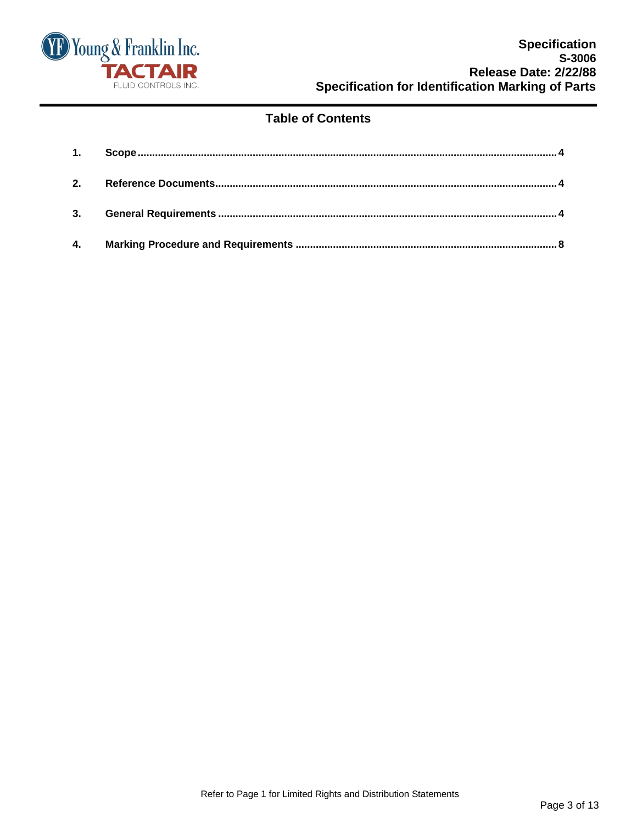

## **Table of Contents**

| 1. |  |
|----|--|
|    |  |
|    |  |
| 4. |  |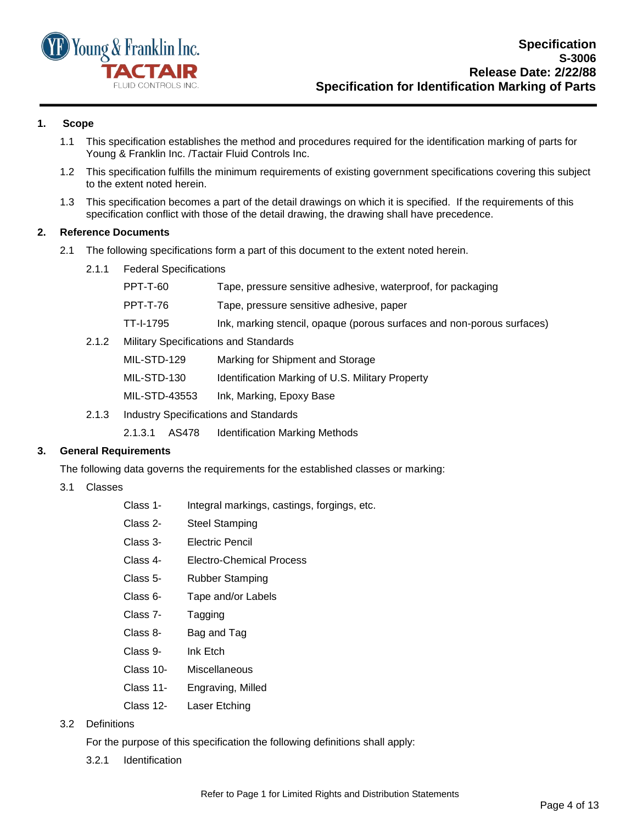

#### <span id="page-3-0"></span>**1. Scope**

- 1.1 This specification establishes the method and procedures required for the identification marking of parts for Young & Franklin Inc. /Tactair Fluid Controls Inc.
- 1.2 This specification fulfills the minimum requirements of existing government specifications covering this subject to the extent noted herein.
- 1.3 This specification becomes a part of the detail drawings on which it is specified. If the requirements of this specification conflict with those of the detail drawing, the drawing shall have precedence.

#### <span id="page-3-1"></span>**2. Reference Documents**

- 2.1 The following specifications form a part of this document to the extent noted herein.
	- 2.1.1 Federal Specifications

|       | PPT-T-60                                     | Tape, pressure sensitive adhesive, waterproof, for packaging           |
|-------|----------------------------------------------|------------------------------------------------------------------------|
|       | <b>PPT-T-76</b>                              | Tape, pressure sensitive adhesive, paper                               |
|       | TT-I-1795                                    | Ink, marking stencil, opaque (porous surfaces and non-porous surfaces) |
| 2.1.2 | <b>Military Specifications and Standards</b> |                                                                        |
|       |                                              | $\blacksquare$                                                         |

MIL-STD-129 Marking for Shipment and Storage

| MIL-STD-130 | Identification Marking of U.S. Military Property |  |  |  |
|-------------|--------------------------------------------------|--|--|--|

- MIL-STD-43553 Ink, Marking, Epoxy Base
- 2.1.3 Industry Specifications and Standards

2.1.3.1 AS478 Identification Marking Methods

#### <span id="page-3-2"></span>**3. General Requirements**

The following data governs the requirements for the established classes or marking:

- 3.1 Classes
	- Class 1- Integral markings, castings, forgings, etc.
	- Class 2- Steel Stamping
	- Class 3- Electric Pencil
	- Class 4- Electro-Chemical Process
	- Class 5- Rubber Stamping
	- Class 6- Tape and/or Labels
	- Class 7- Tagging
	- Class 8- Bag and Tag
	- Class 9- Ink Etch
	- Class 10- Miscellaneous
	- Class 11- Engraving, Milled
	- Class 12- Laser Etching
- 3.2 Definitions

For the purpose of this specification the following definitions shall apply:

3.2.1 Identification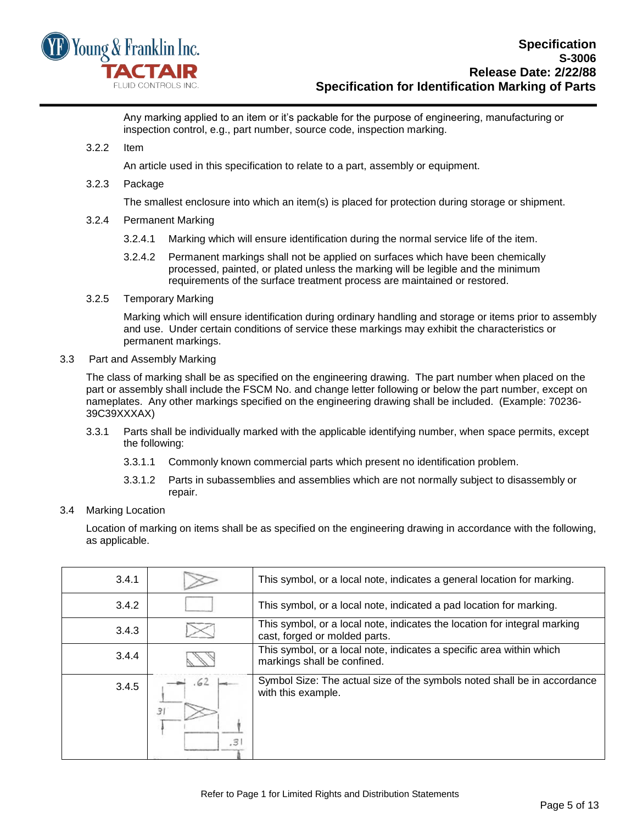

Any marking applied to an item or it's packable for the purpose of engineering, manufacturing or inspection control, e.g., part number, source code, inspection marking.

3.2.2 Item

An article used in this specification to relate to a part, assembly or equipment.

3.2.3 Package

The smallest enclosure into which an item(s) is placed for protection during storage or shipment.

- 3.2.4 Permanent Marking
	- 3.2.4.1 Marking which will ensure identification during the normal service life of the item.
	- 3.2.4.2 Permanent markings shall not be applied on surfaces which have been chemically processed, painted, or plated unless the marking will be legible and the minimum requirements of the surface treatment process are maintained or restored.
- 3.2.5 Temporary Marking

Marking which will ensure identification during ordinary handling and storage or items prior to assembly and use. Under certain conditions of service these markings may exhibit the characteristics or permanent markings.

3.3 Part and Assembly Marking

The class of marking shall be as specified on the engineering drawing. The part number when placed on the part or assembly shall include the FSCM No. and change letter following or below the part number, except on nameplates. Any other markings specified on the engineering drawing shall be included. (Example: 70236- 39C39XXXAX)

- 3.3.1 Parts shall be individually marked with the applicable identifying number, when space permits, except the following:
	- 3.3.1.1 Commonly known commercial parts which present no identification problem.
	- 3.3.1.2 Parts in subassemblies and assemblies which are not normally subject to disassembly or repair.
- 3.4 Marking Location

Location of marking on items shall be as specified on the engineering drawing in accordance with the following, as applicable.

| 3.4.1 |                  | This symbol, or a local note, indicates a general location for marking.                                    |
|-------|------------------|------------------------------------------------------------------------------------------------------------|
| 3.4.2 |                  | This symbol, or a local note, indicated a pad location for marking.                                        |
| 3.4.3 |                  | This symbol, or a local note, indicates the location for integral marking<br>cast, forged or molded parts. |
| 3.4.4 |                  | This symbol, or a local note, indicates a specific area within which<br>markings shall be confined.        |
| 3.4.5 | ه) .<br>Э<br>.3' | Symbol Size: The actual size of the symbols noted shall be in accordance<br>with this example.             |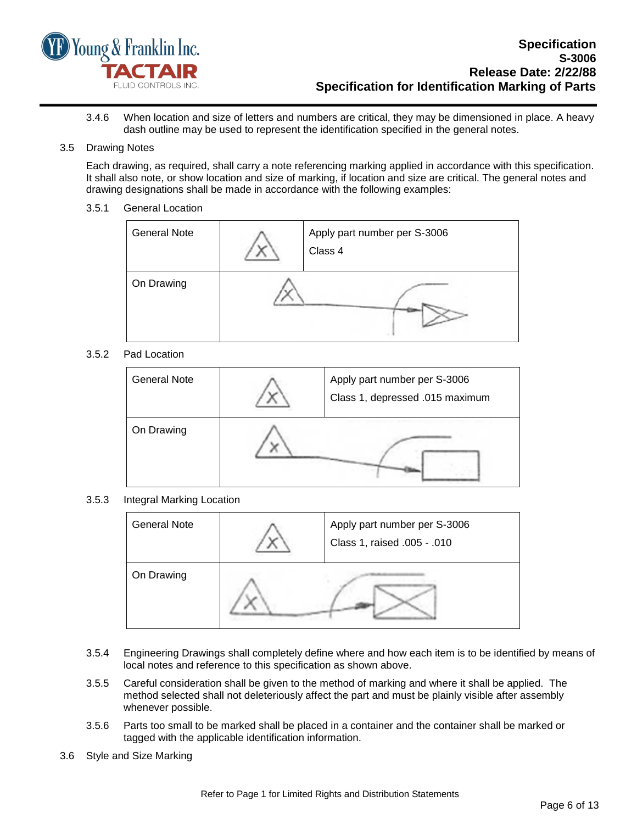

#### 3.4.6 When location and size of letters and numbers are critical, they may be dimensioned in place. A heavy dash outline may be used to represent the identification specified in the general notes.

#### 3.5 Drawing Notes

Each drawing, as required, shall carry a note referencing marking applied in accordance with this specification. It shall also note, or show location and size of marking, if location and size are critical. The general notes and drawing designations shall be made in accordance with the following examples:

#### 3.5.1 General Location

| <b>General Note</b> | Apply part number per S-3006<br>Class 4 |
|---------------------|-----------------------------------------|
| On Drawing          |                                         |

#### 3.5.2 Pad Location

| <b>General Note</b> | Apply part number per S-3006<br>Class 1, depressed .015 maximum |
|---------------------|-----------------------------------------------------------------|
| On Drawing          |                                                                 |

#### 3.5.3 Integral Marking Location

| <b>General Note</b> | Apply part number per S-3006<br>Class 1, raised .005 - .010 |
|---------------------|-------------------------------------------------------------|
| On Drawing          |                                                             |

- 3.5.4 Engineering Drawings shall completely define where and how each item is to be identified by means of local notes and reference to this specification as shown above.
- 3.5.5 Careful consideration shall be given to the method of marking and where it shall be applied. The method selected shall not deleteriously affect the part and must be plainly visible after assembly whenever possible.
- 3.5.6 Parts too small to be marked shall be placed in a container and the container shall be marked or tagged with the applicable identification information.
- 3.6 Style and Size Marking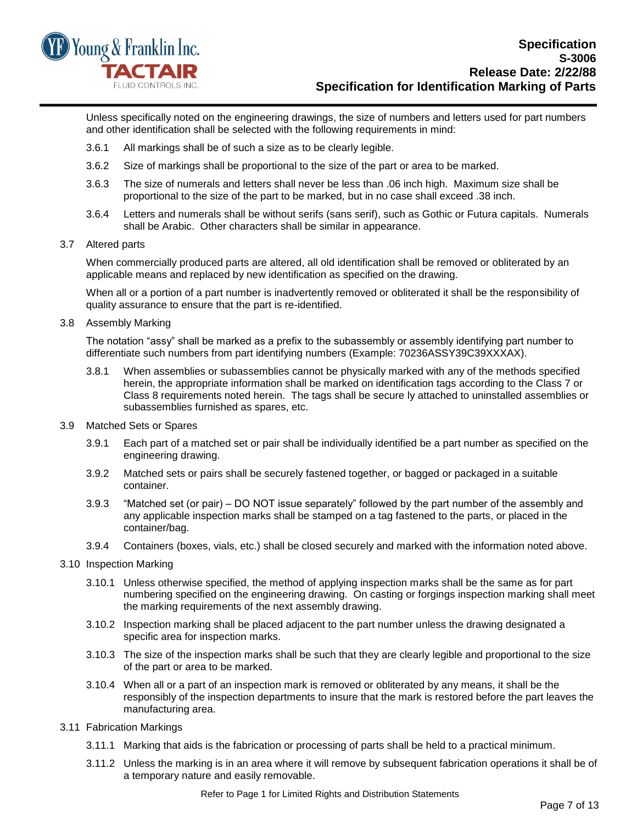

Unless specifically noted on the engineering drawings, the size of numbers and letters used for part numbers and other identification shall be selected with the following requirements in mind:

- 3.6.1 All markings shall be of such a size as to be clearly legible.
- 3.6.2 Size of markings shall be proportional to the size of the part or area to be marked.
- 3.6.3 The size of numerals and letters shall never be less than .06 inch high. Maximum size shall be proportional to the size of the part to be marked, but in no case shall exceed .38 inch.
- 3.6.4 Letters and numerals shall be without serifs (sans serif), such as Gothic or Futura capitals. Numerals shall be Arabic. Other characters shall be similar in appearance.

#### 3.7 Altered parts

When commercially produced parts are altered, all old identification shall be removed or obliterated by an applicable means and replaced by new identification as specified on the drawing.

When all or a portion of a part number is inadvertently removed or obliterated it shall be the responsibility of quality assurance to ensure that the part is re-identified.

#### 3.8 Assembly Marking

The notation "assy" shall be marked as a prefix to the subassembly or assembly identifying part number to differentiate such numbers from part identifying numbers (Example: 70236ASSY39C39XXXAX).

- 3.8.1 When assemblies or subassemblies cannot be physically marked with any of the methods specified herein, the appropriate information shall be marked on identification tags according to the Class 7 or Class 8 requirements noted herein. The tags shall be secure ly attached to uninstalled assemblies or subassemblies furnished as spares, etc.
- 3.9 Matched Sets or Spares
	- 3.9.1 Each part of a matched set or pair shall be individually identified be a part number as specified on the engineering drawing.
	- 3.9.2 Matched sets or pairs shall be securely fastened together, or bagged or packaged in a suitable container.
	- 3.9.3 "Matched set (or pair) DO NOT issue separately" followed by the part number of the assembly and any applicable inspection marks shall be stamped on a tag fastened to the parts, or placed in the container/bag.
	- 3.9.4 Containers (boxes, vials, etc.) shall be closed securely and marked with the information noted above.
- 3.10 Inspection Marking
	- 3.10.1 Unless otherwise specified, the method of applying inspection marks shall be the same as for part numbering specified on the engineering drawing. On casting or forgings inspection marking shall meet the marking requirements of the next assembly drawing.
	- 3.10.2 Inspection marking shall be placed adjacent to the part number unless the drawing designated a specific area for inspection marks.
	- 3.10.3 The size of the inspection marks shall be such that they are clearly legible and proportional to the size of the part or area to be marked.
	- 3.10.4 When all or a part of an inspection mark is removed or obliterated by any means, it shall be the responsibly of the inspection departments to insure that the mark is restored before the part leaves the manufacturing area.
- 3.11 Fabrication Markings
	- 3.11.1 Marking that aids is the fabrication or processing of parts shall be held to a practical minimum.
	- 3.11.2 Unless the marking is in an area where it will remove by subsequent fabrication operations it shall be of a temporary nature and easily removable.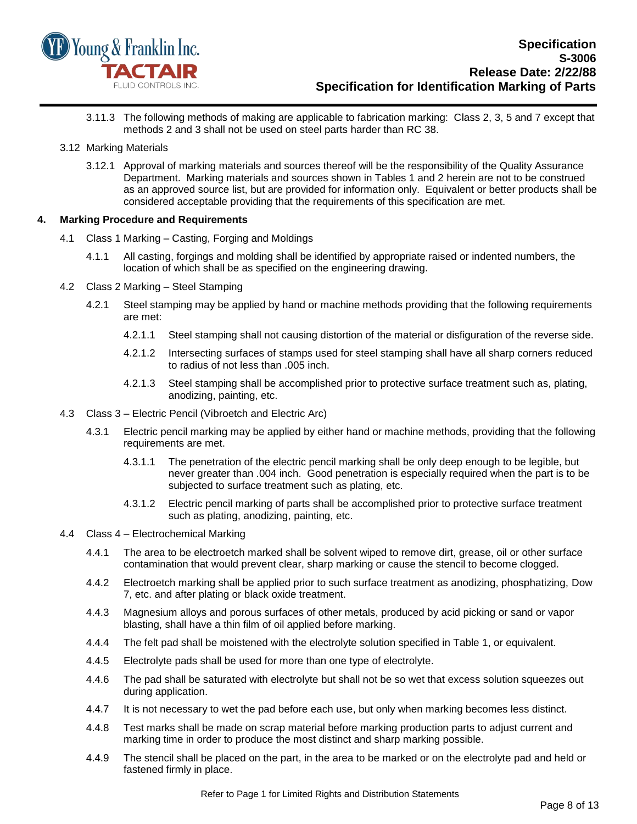

- 3.11.3 The following methods of making are applicable to fabrication marking: Class 2, 3, 5 and 7 except that methods 2 and 3 shall not be used on steel parts harder than RC 38.
- 3.12 Marking Materials
	- 3.12.1 Approval of marking materials and sources thereof will be the responsibility of the Quality Assurance Department. Marking materials and sources shown in Tables 1 and 2 herein are not to be construed as an approved source list, but are provided for information only. Equivalent or better products shall be considered acceptable providing that the requirements of this specification are met.

#### <span id="page-7-0"></span>**4. Marking Procedure and Requirements**

- 4.1 Class 1 Marking Casting, Forging and Moldings
	- 4.1.1 All casting, forgings and molding shall be identified by appropriate raised or indented numbers, the location of which shall be as specified on the engineering drawing.
- 4.2 Class 2 Marking Steel Stamping
	- 4.2.1 Steel stamping may be applied by hand or machine methods providing that the following requirements are met:
		- 4.2.1.1 Steel stamping shall not causing distortion of the material or disfiguration of the reverse side.
		- 4.2.1.2 Intersecting surfaces of stamps used for steel stamping shall have all sharp corners reduced to radius of not less than .005 inch.
		- 4.2.1.3 Steel stamping shall be accomplished prior to protective surface treatment such as, plating, anodizing, painting, etc.
- 4.3 Class 3 Electric Pencil (Vibroetch and Electric Arc)
	- 4.3.1 Electric pencil marking may be applied by either hand or machine methods, providing that the following requirements are met.
		- 4.3.1.1 The penetration of the electric pencil marking shall be only deep enough to be legible, but never greater than .004 inch. Good penetration is especially required when the part is to be subjected to surface treatment such as plating, etc.
		- 4.3.1.2 Electric pencil marking of parts shall be accomplished prior to protective surface treatment such as plating, anodizing, painting, etc.
- 4.4 Class 4 Electrochemical Marking
	- 4.4.1 The area to be electroetch marked shall be solvent wiped to remove dirt, grease, oil or other surface contamination that would prevent clear, sharp marking or cause the stencil to become clogged.
	- 4.4.2 Electroetch marking shall be applied prior to such surface treatment as anodizing, phosphatizing, Dow 7, etc. and after plating or black oxide treatment.
	- 4.4.3 Magnesium alloys and porous surfaces of other metals, produced by acid picking or sand or vapor blasting, shall have a thin film of oil applied before marking.
	- 4.4.4 The felt pad shall be moistened with the electrolyte solution specified in Table 1, or equivalent.
	- 4.4.5 Electrolyte pads shall be used for more than one type of electrolyte.
	- 4.4.6 The pad shall be saturated with electrolyte but shall not be so wet that excess solution squeezes out during application.
	- 4.4.7 It is not necessary to wet the pad before each use, but only when marking becomes less distinct.
	- 4.4.8 Test marks shall be made on scrap material before marking production parts to adjust current and marking time in order to produce the most distinct and sharp marking possible.
	- 4.4.9 The stencil shall be placed on the part, in the area to be marked or on the electrolyte pad and held or fastened firmly in place.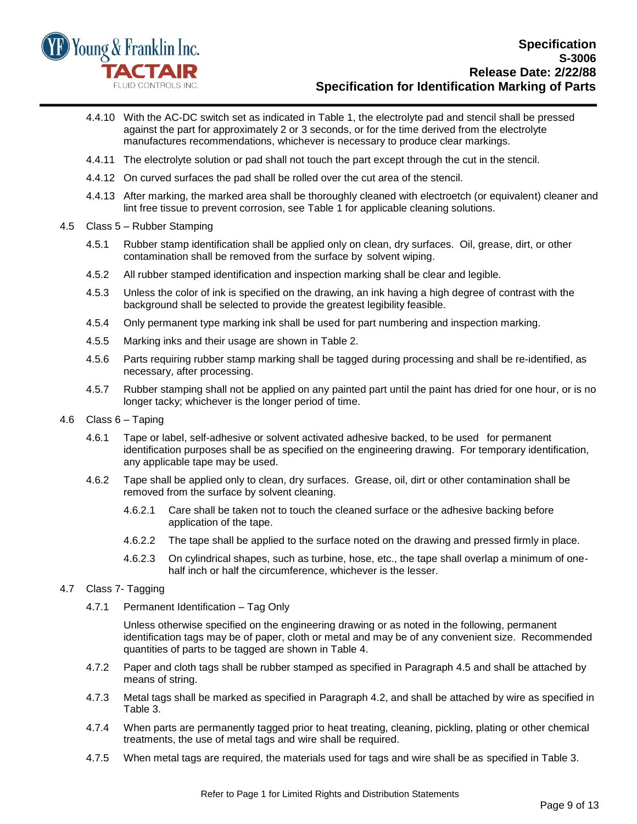

- 4.4.10 With the AC-DC switch set as indicated in Table 1, the electrolyte pad and stencil shall be pressed against the part for approximately 2 or 3 seconds, or for the time derived from the electrolyte manufactures recommendations, whichever is necessary to produce clear markings.
- 4.4.11 The electrolyte solution or pad shall not touch the part except through the cut in the stencil.
- 4.4.12 On curved surfaces the pad shall be rolled over the cut area of the stencil.
- 4.4.13 After marking, the marked area shall be thoroughly cleaned with electroetch (or equivalent) cleaner and lint free tissue to prevent corrosion, see Table 1 for applicable cleaning solutions.
- 4.5 Class 5 Rubber Stamping
	- 4.5.1 Rubber stamp identification shall be applied only on clean, dry surfaces. Oil, grease, dirt, or other contamination shall be removed from the surface by solvent wiping.
	- 4.5.2 All rubber stamped identification and inspection marking shall be clear and legible.
	- 4.5.3 Unless the color of ink is specified on the drawing, an ink having a high degree of contrast with the background shall be selected to provide the greatest legibility feasible.
	- 4.5.4 Only permanent type marking ink shall be used for part numbering and inspection marking.
	- 4.5.5 Marking inks and their usage are shown in Table 2.
	- 4.5.6 Parts requiring rubber stamp marking shall be tagged during processing and shall be re-identified, as necessary, after processing.
	- 4.5.7 Rubber stamping shall not be applied on any painted part until the paint has dried for one hour, or is no longer tacky; whichever is the longer period of time.
- 4.6 Class 6 Taping
	- 4.6.1 Tape or label, self-adhesive or solvent activated adhesive backed, to be used for permanent identification purposes shall be as specified on the engineering drawing. For temporary identification, any applicable tape may be used.
	- 4.6.2 Tape shall be applied only to clean, dry surfaces. Grease, oil, dirt or other contamination shall be removed from the surface by solvent cleaning.
		- 4.6.2.1 Care shall be taken not to touch the cleaned surface or the adhesive backing before application of the tape.
		- 4.6.2.2 The tape shall be applied to the surface noted on the drawing and pressed firmly in place.
		- 4.6.2.3 On cylindrical shapes, such as turbine, hose, etc., the tape shall overlap a minimum of onehalf inch or half the circumference, whichever is the lesser.
- 4.7 Class 7- Tagging
	- 4.7.1 Permanent Identification Tag Only

Unless otherwise specified on the engineering drawing or as noted in the following, permanent identification tags may be of paper, cloth or metal and may be of any convenient size. Recommended quantities of parts to be tagged are shown in Table 4.

- 4.7.2 Paper and cloth tags shall be rubber stamped as specified in Paragraph 4.5 and shall be attached by means of string.
- 4.7.3 Metal tags shall be marked as specified in Paragraph 4.2, and shall be attached by wire as specified in Table 3.
- 4.7.4 When parts are permanently tagged prior to heat treating, cleaning, pickling, plating or other chemical treatments, the use of metal tags and wire shall be required.
- 4.7.5 When metal tags are required, the materials used for tags and wire shall be as specified in Table 3.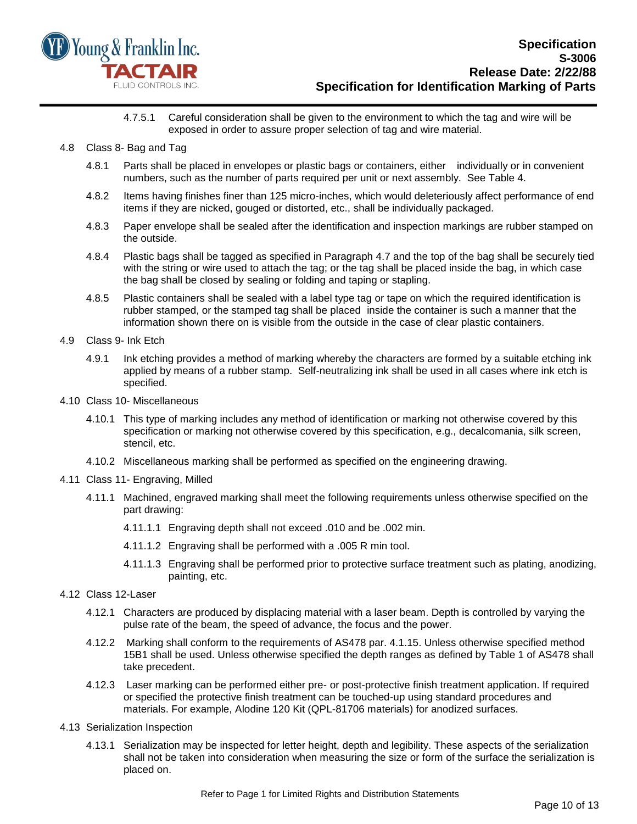

#### 4.7.5.1 Careful consideration shall be given to the environment to which the tag and wire will be exposed in order to assure proper selection of tag and wire material.

- 4.8 Class 8- Bag and Tag
	- 4.8.1 Parts shall be placed in envelopes or plastic bags or containers, either individually or in convenient numbers, such as the number of parts required per unit or next assembly. See Table 4.
	- 4.8.2 Items having finishes finer than 125 micro-inches, which would deleteriously affect performance of end items if they are nicked, gouged or distorted, etc., shall be individually packaged.
	- 4.8.3 Paper envelope shall be sealed after the identification and inspection markings are rubber stamped on the outside.
	- 4.8.4 Plastic bags shall be tagged as specified in Paragraph 4.7 and the top of the bag shall be securely tied with the string or wire used to attach the tag; or the tag shall be placed inside the bag, in which case the bag shall be closed by sealing or folding and taping or stapling.
	- 4.8.5 Plastic containers shall be sealed with a label type tag or tape on which the required identification is rubber stamped, or the stamped tag shall be placed inside the container is such a manner that the information shown there on is visible from the outside in the case of clear plastic containers.
- 4.9 Class 9- Ink Etch
	- 4.9.1 Ink etching provides a method of marking whereby the characters are formed by a suitable etching ink applied by means of a rubber stamp. Self-neutralizing ink shall be used in all cases where ink etch is specified.
- 4.10 Class 10- Miscellaneous
	- 4.10.1 This type of marking includes any method of identification or marking not otherwise covered by this specification or marking not otherwise covered by this specification, e.g., decalcomania, silk screen, stencil, etc.
	- 4.10.2 Miscellaneous marking shall be performed as specified on the engineering drawing.
- 4.11 Class 11- Engraving, Milled
	- 4.11.1 Machined, engraved marking shall meet the following requirements unless otherwise specified on the part drawing:
		- 4.11.1.1 Engraving depth shall not exceed .010 and be .002 min.
		- 4.11.1.2 Engraving shall be performed with a .005 R min tool.
		- 4.11.1.3 Engraving shall be performed prior to protective surface treatment such as plating, anodizing, painting, etc.
- 4.12 Class 12-Laser
	- 4.12.1 Characters are produced by displacing material with a laser beam. Depth is controlled by varying the pulse rate of the beam, the speed of advance, the focus and the power.
	- 4.12.2 Marking shall conform to the requirements of AS478 par. 4.1.15. Unless otherwise specified method 15B1 shall be used. Unless otherwise specified the depth ranges as defined by Table 1 of AS478 shall take precedent.
	- 4.12.3 Laser marking can be performed either pre- or post-protective finish treatment application. If required or specified the protective finish treatment can be touched-up using standard procedures and materials. For example, Alodine 120 Kit (QPL-81706 materials) for anodized surfaces.
- 4.13 Serialization Inspection
	- 4.13.1 Serialization may be inspected for letter height, depth and legibility. These aspects of the serialization shall not be taken into consideration when measuring the size or form of the surface the serialization is placed on.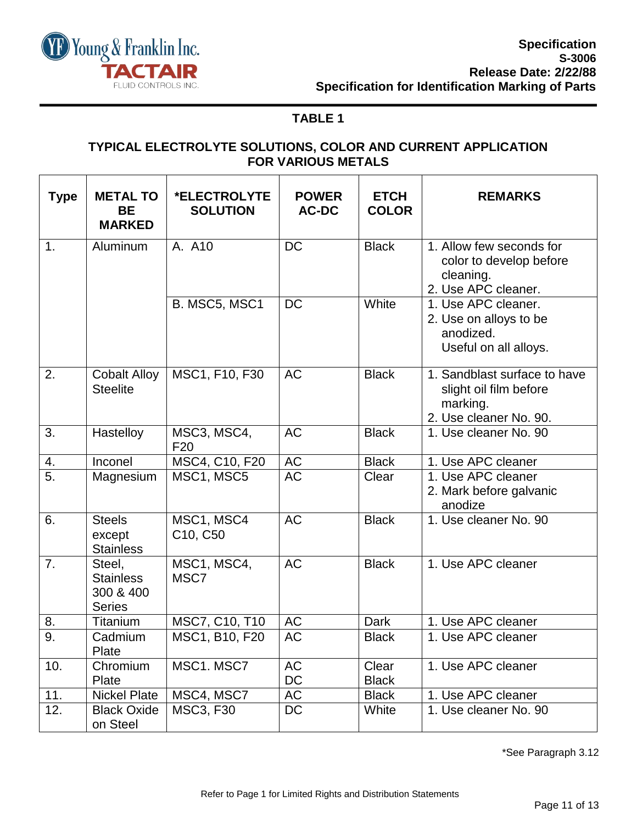

## **TABLE 1**

## **TYPICAL ELECTROLYTE SOLUTIONS, COLOR AND CURRENT APPLICATION FOR VARIOUS METALS**

| <b>Type</b>      | <b>METAL TO</b><br><b>BE</b><br><b>MARKED</b>            | *ELECTROLYTE<br><b>SOLUTION</b> | <b>POWER</b><br><b>AC-DC</b> | <b>ETCH</b><br><b>COLOR</b> | <b>REMARKS</b>                                                                               |
|------------------|----------------------------------------------------------|---------------------------------|------------------------------|-----------------------------|----------------------------------------------------------------------------------------------|
| 1.               | Aluminum                                                 | A. A10                          | <b>DC</b>                    | <b>Black</b>                | 1. Allow few seconds for<br>color to develop before<br>cleaning.<br>2. Use APC cleaner.      |
|                  |                                                          | B. MSC5, MSC1                   | <b>DC</b>                    | White                       | 1. Use APC cleaner.<br>2. Use on alloys to be<br>anodized.<br>Useful on all alloys.          |
| 2.               | <b>Cobalt Alloy</b><br><b>Steelite</b>                   | MSC1, F10, F30                  | <b>AC</b>                    | <b>Black</b>                | 1. Sandblast surface to have<br>slight oil film before<br>marking.<br>2. Use cleaner No. 90. |
| 3.               | Hastelloy                                                | MSC3, MSC4,<br>F <sub>20</sub>  | <b>AC</b>                    | <b>Black</b>                | 1. Use cleaner No. 90                                                                        |
| 4.               | Inconel                                                  | MSC4, C10, F20                  | <b>AC</b>                    | <b>Black</b>                | 1. Use APC cleaner                                                                           |
| $\overline{5}$ . | Magnesium                                                | MSC1, MSC5                      | <b>AC</b>                    | Clear                       | 1. Use APC cleaner<br>2. Mark before galvanic<br>anodize                                     |
| 6.               | <b>Steels</b><br>except<br><b>Stainless</b>              | MSC1, MSC4<br>C10, C50          | <b>AC</b>                    | <b>Black</b>                | 1. Use cleaner No. 90                                                                        |
| $\overline{7}$ . | Steel,<br><b>Stainless</b><br>300 & 400<br><b>Series</b> | MSC1, MSC4,<br>MSC7             | <b>AC</b>                    | <b>Black</b>                | 1. Use APC cleaner                                                                           |
| 8.               | <b>Titanium</b>                                          | MSC7, C10, T10                  | $\mathsf{AC}$                | <b>Dark</b>                 | 1. Use APC cleaner                                                                           |
| $\overline{9}$ . | Cadmium<br>Plate                                         | MSC1, B10, F20                  | <b>AC</b>                    | <b>Black</b>                | 1. Use APC cleaner                                                                           |
| 10.              | Chromium<br>Plate                                        | MSC1. MSC7                      | <b>AC</b><br>DC              | Clear<br><b>Black</b>       | 1. Use APC cleaner                                                                           |
| 11.              | <b>Nickel Plate</b>                                      | MSC4, MSC7                      | <b>AC</b>                    | <b>Black</b>                | 1. Use APC cleaner                                                                           |
| 12.              | <b>Black Oxide</b><br>on Steel                           | <b>MSC3, F30</b>                | DC                           | White                       | 1. Use cleaner No. 90                                                                        |

\*See Paragraph 3.12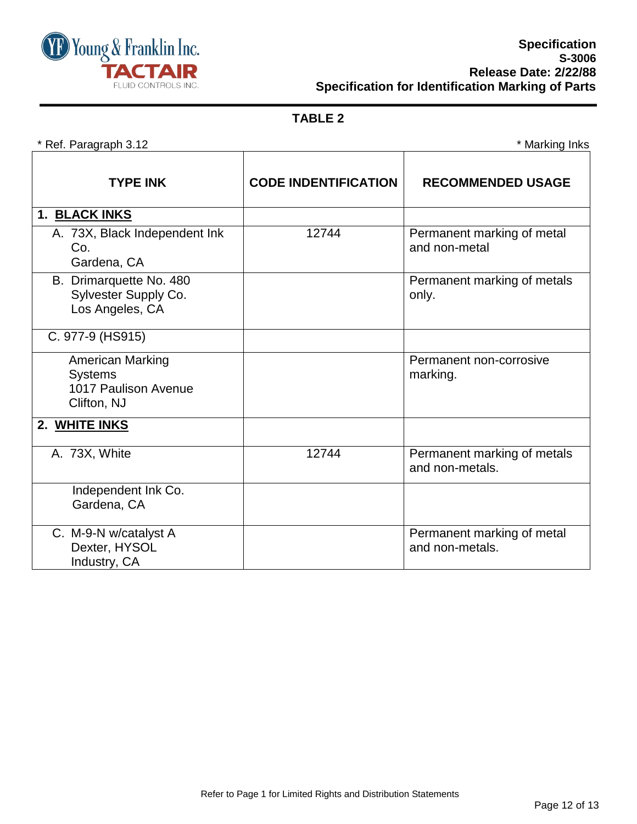

## **TABLE 2**

\* Ref. Paragraph 3.12 \* Marking Inks

| <b>TYPE INK</b>                                                                  | <b>CODE INDENTIFICATION</b> | <b>RECOMMENDED USAGE</b>                       |
|----------------------------------------------------------------------------------|-----------------------------|------------------------------------------------|
| 1. BLACK INKS                                                                    |                             |                                                |
| A. 73X, Black Independent Ink<br>Co.<br>Gardena, CA                              | 12744                       | Permanent marking of metal<br>and non-metal    |
| B. Drimarquette No. 480<br>Sylvester Supply Co.<br>Los Angeles, CA               |                             | Permanent marking of metals<br>only.           |
| C. 977-9 (HS915)                                                                 |                             |                                                |
| <b>American Marking</b><br><b>Systems</b><br>1017 Paulison Avenue<br>Clifton, NJ |                             | Permanent non-corrosive<br>marking.            |
| 2. WHITE INKS                                                                    |                             |                                                |
| A. 73X, White                                                                    | 12744                       | Permanent marking of metals<br>and non-metals. |
| Independent Ink Co.<br>Gardena, CA                                               |                             |                                                |
| C. M-9-N w/catalyst A<br>Dexter, HYSOL<br>Industry, CA                           |                             | Permanent marking of metal<br>and non-metals.  |